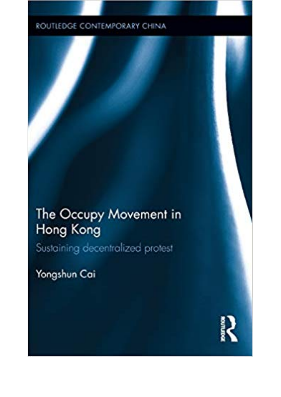## ROUTLEDGE CONTEMPORARY CHINA

## The Occupy Movement in Hong Kong

Sustaining decentralized protest

Yongshun Cai

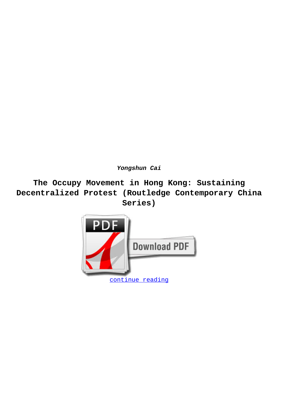**Yongshun Cai**

**The Occupy Movement in Hong Kong: Sustaining Decentralized Protest (Routledge Contemporary China Series)**

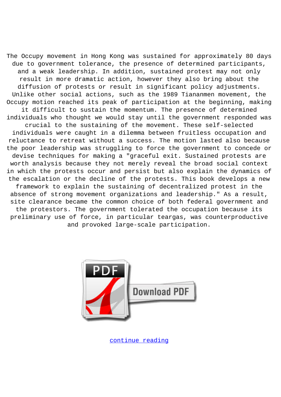The Occupy movement in Hong Kong was sustained for approximately 80 days due to government tolerance, the presence of determined participants, and a weak leadership. In addition, sustained protest may not only result in more dramatic action, however they also bring about the diffusion of protests or result in significant policy adjustments. Unlike other social actions, such as the 1989 Tiananmen movement, the Occupy motion reached its peak of participation at the beginning, making it difficult to sustain the momentum. The presence of determined individuals who thought we would stay until the government responded was crucial to the sustaining of the movement. These self-selected individuals were caught in a dilemma between fruitless occupation and reluctance to retreat without a success. The motion lasted also because the poor leadership was struggling to force the government to concede or devise techniques for making a "graceful exit. Sustained protests are worth analysis because they not merely reveal the broad social context in which the protests occur and persist but also explain the dynamics of the escalation or the decline of the protests. This book develops a new framework to explain the sustaining of decentralized protest in the absence of strong movement organizations and leadership." As a result, site clearance became the common choice of both federal government and the protestors. The government tolerated the occupation because its preliminary use of force, in particular teargas, was counterproductive and provoked large-scale participation.



[continue reading](http://bit.ly/2Tge8Fv)